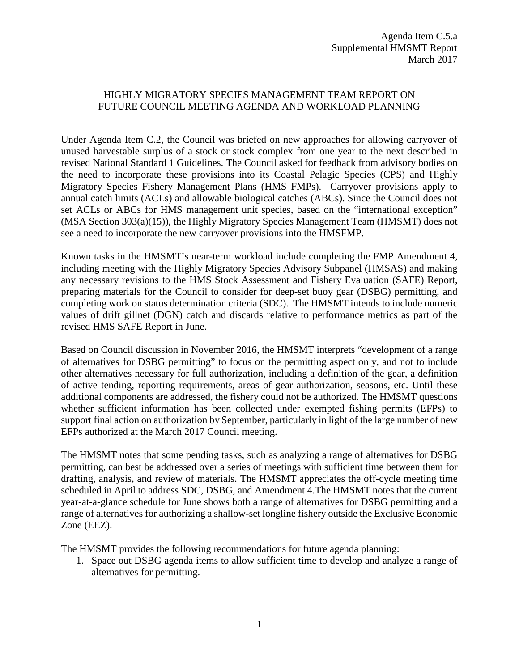## HIGHLY MIGRATORY SPECIES MANAGEMENT TEAM REPORT ON FUTURE COUNCIL MEETING AGENDA AND WORKLOAD PLANNING

Under Agenda Item C.2, the Council was briefed on new approaches for allowing carryover of unused harvestable surplus of a stock or stock complex from one year to the next described in revised National Standard 1 Guidelines. The Council asked for feedback from advisory bodies on the need to incorporate these provisions into its Coastal Pelagic Species (CPS) and Highly Migratory Species Fishery Management Plans (HMS FMPs). Carryover provisions apply to annual catch limits (ACLs) and allowable biological catches (ABCs). Since the Council does not set ACLs or ABCs for HMS management unit species, based on the "international exception" (MSA Section 303(a)(15)), the Highly Migratory Species Management Team (HMSMT) does not see a need to incorporate the new carryover provisions into the HMSFMP.

Known tasks in the HMSMT's near-term workload include completing the FMP Amendment 4, including meeting with the Highly Migratory Species Advisory Subpanel (HMSAS) and making any necessary revisions to the HMS Stock Assessment and Fishery Evaluation (SAFE) Report, preparing materials for the Council to consider for deep-set buoy gear (DSBG) permitting, and completing work on status determination criteria (SDC). The HMSMT intends to include numeric values of drift gillnet (DGN) catch and discards relative to performance metrics as part of the revised HMS SAFE Report in June.

Based on Council discussion in November 2016, the HMSMT interprets "development of a range of alternatives for DSBG permitting" to focus on the permitting aspect only, and not to include other alternatives necessary for full authorization, including a definition of the gear, a definition of active tending, reporting requirements, areas of gear authorization, seasons, etc. Until these additional components are addressed, the fishery could not be authorized. The HMSMT questions whether sufficient information has been collected under exempted fishing permits (EFPs) to support final action on authorization by September, particularly in light of the large number of new EFPs authorized at the March 2017 Council meeting.

The HMSMT notes that some pending tasks, such as analyzing a range of alternatives for DSBG permitting, can best be addressed over a series of meetings with sufficient time between them for drafting, analysis, and review of materials. The HMSMT appreciates the off-cycle meeting time scheduled in April to address SDC, DSBG, and Amendment 4.The HMSMT notes that the current year-at-a-glance schedule for June shows both a range of alternatives for DSBG permitting and a range of alternatives for authorizing a shallow-set longline fishery outside the Exclusive Economic Zone (EEZ).

The HMSMT provides the following recommendations for future agenda planning:

1. Space out DSBG agenda items to allow sufficient time to develop and analyze a range of alternatives for permitting.